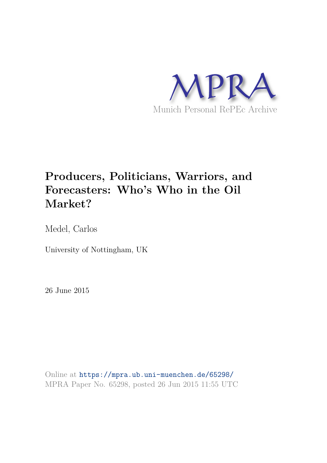

# **Producers, Politicians, Warriors, and Forecasters: Who's Who in the Oil Market?**

Medel, Carlos

University of Nottingham, UK

26 June 2015

Online at https://mpra.ub.uni-muenchen.de/65298/ MPRA Paper No. 65298, posted 26 Jun 2015 11:55 UTC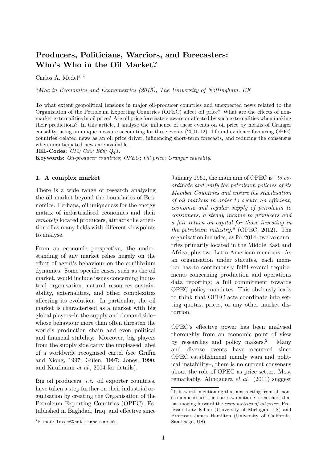# Producers, Politicians, Warriors, and Forecasters: Who's Who in the Oil Market?

Carlos A. Medel<sup>a \*</sup>

<sup>a</sup>MSc in Economics and Econometrics (2015), The University of Nottingham, UK

To what extent geopolitical tensions in major oil-producer countries and unexpected news related to the Organisation of the Petroleum Exporting Countries (OPEC) affect oil price? What are the effects of nonmarket externalities in oil price? Are oil price forecasters aware or affected by such externalities when making their predictions? In this article, I analyse the influence of these events on oil price by means of Granger causality, using an unique measure accounting for these events (2001-12). I found evidence favouring OPEC countriesí-related news as an oil price driver, ináuencing short-term forecasts, and reducing the consensus when unanticipated news are available.

JEL-Codes: C12; C22; E66; Q41.

Keywords: Oil-producer countries; OPEC; Oil price; Granger causality.

## 1. A complex market

There is a wide range of research analysing the oil market beyond the boundaries of Economics. Perhaps, oil uniqueness for the energy matrix of industrialised economies and their remotely located producers, attracts the attention of as many fields with different viewpoints to analyse.

From an economic perspective, the understanding of any market relies hugely on the effect of agent's behaviour on the equilibrium dynamics. Some specific cases, such as the oil market, would include issues concerning industrial organisation, natural resources sustainability, externalities, and other complexities a§ecting its evolution. In particular, the oil market is characterised as a market with big global players-in the supply and demand sidewhose behaviour more than often threaten the world's production chain and even political and financial stability. Moreover, big players from the supply side carry the unpleased label of a worldwide recognised cartel (see Griffin and Xiong, 1997; Gülen, 1997; Jones, 1990; and Kaufmann et al., 2004 for details).

Big oil producers, i.e. oil exporter countries, have taken a step further on their industrial organisation by creating the Organisation of the Petroleum Exporting Countries (OPEC). Established in Baghdad, Iraq, and effective since January 1961, the main aim of OPEC is "to coordinate and unify the petroleum policies of its Member Countries and ensure the stabilisation of oil markets in order to secure an efficient, economic and regular supply of petroleum to consumers, a steady income to producers and a fair return on capital for those investing in the petroleum industry." (OPEC, 2012). The organisation includes, as for 2014, twelve countries primarily located in the Middle East and Africa, plus two Latin American members. As an organisation under statutes, each member has to continuously fulfil several requirements concerning production and operations data reporting; a full commitment towards OPEC policy mandates. This obviously leads to think that OPEC acts coordinate into setting quotas, prices, or any other market distortion.

OPEC's effective power has been analysed thoroughly from an economic point of view by researches and policy makers.<sup>2</sup> Many and diverse events have occurred since OPEC establishment–mainly wars and political instability–, there is no current consensus about the role of OPEC as price setter. Most remarkably, Almoguera et al. (2011) suggest

E-mail: lexcm6@nottingham.ac.uk.

<sup>&</sup>lt;sup>2</sup>It is worth mentioning that abstracting from all noneconomic issues, there are two notable researchers that has moving forward the econometrics of oil price: Professor Lutz Kilian (University of Michigan, US) and Professor James Hamilton (University of California, San Diego, US).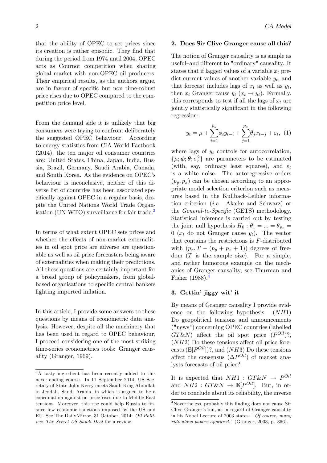that the ability of OPEC to set prices since its creation is rather episodic. They find that during the period from 1974 until 2004, OPEC acts as Cournot competition when sharing global market with non-OPEC oil producers. Their empirical results, as the authors argue, are in favour of specific but non time-robust price rises due to OPEC compared to the competition price level.

From the demand side it is unlikely that big consumers were trying to confront deliberately the suggested OPEC behaviour. According to energy statistics from CIA World Factbook (2014), the ten major oil consumer countries are: United States, China, Japan, India, Russia, Brazil, Germany, Saudi Arabia, Canada, and South Korea. As the evidence on OPEC's behaviour is inconclusive, neither of this diverse list of countries has been associated specifically against OPEC in a regular basis, despite the United Nations World Trade Organisation (UN-WTO) surveillance for fair trade.<sup>3</sup>

In terms of what extent OPEC sets prices and whether the effects of non-market externalities in oil spot price are adverse are questionable as well as oil price forecasters being aware of externalities when making their predictions. All these questions are certainly important for a broad group of policymakers, from globalbased organisations to specific central bankers fighting imported inflation.

In this article, I provide some answers to these questions by means of econometric data analysis. However, despite all the machinery that has been used in regard to OPEC behaviour, I proceed considering one of the most striking time-series econometrics tools: Granger causality (Granger, 1969).

## 2 CA Medel

#### 2. Does Sir Clive Granger cause all this?

The notion of Granger causality is as simple as useful–and different to "ordinary" causality. It states that if lagged values of a variable  $x_t$  predict current values of another variable  $y_t$ , and that forecast includes lags of  $x_t$  as well as  $y_t$ , then  $x_t$  Granger cause  $y_t$   $(x_t \rightarrow y_t)$ . Formally, this corresponds to test if all the lags of  $x_t$  are jointly statistically significant in the following regression:

$$
y_t = \mu + \sum_{i=1}^{p_y} \phi_i y_{t-i} + \sum_{j=1}^{p_x} \theta_j x_{t-j} + \varepsilon_t, \tag{1}
$$

where lags of  $y_t$  controls for autocorrelation,  $\{\mu, \phi, \theta, \sigma_{\varepsilon}^2\}$  are parameters to be estimated (with, say, ordinary least squares), and  $\varepsilon_t$ is a white noise. The autoregressive orders  $(p_y, p_x)$  can be chosen according to an appropriate model selection criterion such as measures based in the Kullback-Leibler information criterion (i.e. Akaike and Schwarz) or the *General-to-Specific* (GETS) methodology. Statistical inference is carried out by testing the joint null hypothesis  $H_0: \theta_1 = ... = \theta_{p_x} =$ 0 ( $x_t$  do not Granger cause  $y_t$ ). The vector that contains the restrictions is F-distributed with  $(p_x, T - (p_y + p_x + 1))$  degrees of freedom  $(T$  is the sample size). For a simple, and rather humorous example on the mechanics of Granger causality, see Thurman and Fisher  $(1988).<sup>4</sup>$ 

### 3. Gettin' jiggy wit' it

By means of Granger causality I provide evidence on the following hypothesis:  $(NH1)$ Do geopolitical tensions and announcements ("news") concerning OPEC countries (labelled  $GT\&N$ ) affect the oil spot price  $(P^{Oil})$ ?,  $(NH2)$  Do these tensions affect oil price forecasts  $(\mathbb{E}[P^{Oil}])$ ?, and  $(NH3)$  Do these tensions affect the consensus  $(\Delta P^{Oil})$  of market analysts forecasts of oil price?.

It is expected that  $NH1: GT\&N \rightarrow P^{Oil}$ and  $NH2: GT\&N \rightarrow \mathbb{E}[P^{Oil}]$ . But, in order to conclude about its reliability, the inverse

<sup>3</sup>A tasty ingredient has been recently added to this never-ending course. In 11 September 2014, US Secretary of State John Kerry meets Saudi King Abdullah in Jeddah, Saudi Arabia, in which is argued to be a coordination against oil price rises due to Middle East tensions. Moreover, this rise could help Russia to finance few economic sanctions imposed by the US and EU. See The DailyMirror, 31 October, 2014: Oil Politics: The Secret US-Saudi Deal for a review.

 ${}^{4}\rm Nevertheless,$  probably this finding does not cause Sir Clive Granger's fun, as in regard of Granger causality in his Nobel Lecture of 2003 states: "Of course, many ridiculous papers appeared." (Granger, 2003, p. 366).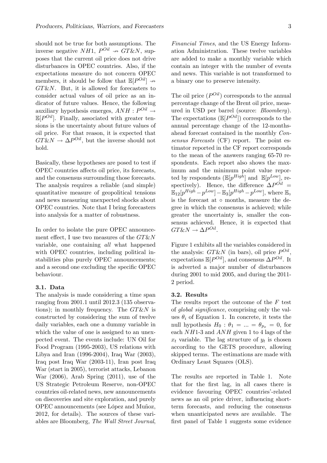should not be true for both assumptions. The inverse negative  $NH1, P^{Oil} \nrightarrow GT\&N,$  supposes that the current oil price does not drive disturbances in OPEC countries. Also, if the expectations measure do not concern OPEC members, it should be follow that  $\mathbb{E}[P^{Oil}] \rightarrow$  $GT\&N$ . But, it is allowed for forecasters to consider actual values of oil price as an indicator of future values. Hence, the following auxiliary hypothesis emerges,  $ANH : P^{Oil} \rightarrow$  $\mathbb{E}[P^{Oil}]$ . Finally, associated with greater tensions is the uncertainty about future values of oil price. For that reason, it is expected that  $G T \& N \to \Delta P^{0il}$ , but the inverse should not hold.

Basically, these hypotheses are posed to test if OPEC countries affects oil price, its forecasts, and the consensus surrounding those forecasts. The analysis requires a reliable (and simple) quantitative measure of geopolitical tensions and news measuring unexpected shocks about OPEC countries. Note that I bring forecasters into analysis for a matter of robustness.

In order to isolate the pure OPEC announcement effect, I use two measures of the  $G T \& N$ variable, one containing all what happened with OPEC countries, including political instabilities plus purely OPEC announcements; and a second one excluding the specific OPEC behaviour.

# 3.1. Data

The analysis is made considering a time span ranging from 2001.1 until 2012.3 (135 observations); in monthly frequency. The  $GT\&N$  is constructed by considering the sum of twelve daily variables, each one a dummy variable in which the value of one is assigned to an unexpected event. The events include: UN Oil for Food Program (1995-2003), US relations with Libya and Iran (1996-2004), Iraq War (2003), Iraq post Iraq War (2003-11), Iran post Iraq War (start in 2005), terrorist attacks, Lebanon War (2006), Arab Spring (2011), use of the US Strategic Petroleum Reserve, non-OPEC countries oil-related news, new announcements on discoveries and site exploration, and purely OPEC announcements (see López and Muñoz, 2012, for details). The sources of these variables are Bloomberg, The Wall Street Journal, Financial Times, and the US Energy Information Administration. These twelve variables are added to make a monthly variable which contain an integer with the number of events and news. This variable is not transformed to a binary one to preserve intensity.

The oil price  $(P^{Oil})$  corresponds to the annual percentage change of the Brent oil price, measured in USD per barrel (source: Bloomberg). The expectations  $(\mathbb{E}[P^{Oil}])$  corresponds to the annual percentage change of the 12-monthsahead forecast contained in the monthly Consensus Forecasts (CF) report. The point estimator reported in the CF report corresponds to the mean of the answers ranging 65-70 respondents. Each report also shows the maximum and the minimum point value reported by respondents  $(\mathbb{E}[p^{High}]$  and  $\mathbb{E}[p^{Low}]$ , respectively). Hence, the difference  $\Delta P^{Oil} =$  $\mathbb{E}_{12}[p^{High} - p^{Low}] - \mathbb{E}_{3}[p^{High} - p^{Low}]$ , where  $\mathbb{E}_{\infty}$ is the forecast at  $\circ$  months, measure the degree in which the consensus is achieved; while greater the uncertainty is, smaller the consensus achieved. Hence, it is expected that  $G T \& N \rightarrow \Delta P^{Oil}$ .

Figure 1 exhibits all the variables considered in the analysis:  $GT\&N$  (in bars), oil price  $P^{Oil}$ , expectations  $\mathbb{E}[P^{Oil}]$ , and consensus  $\Delta P^{Oil}$ . It is adverted a major number of disturbances during 2001 to mid 2005, and during the 2011- 2 period.

#### 3.2. Results

The results report the outcome of the F test of *global significance*, comprising only the values  $\theta_i$  of Equation 1. In concrete, it tests the null hypothesis  $H_0$ :  $\theta_1 = ... = \theta_{p_x} = 0$ , for each NH1-3 and ANH given 1 to 4 lags of the  $x_t$  variable. The lag structure of  $y_t$  is chosen according to the GETS procedure, allowing skipped terms. The estimations are made with Ordinary Least Squares (OLS).

The results are reported in Table 1. Note that for the Örst lag, in all cases there is evidence favouring OPEC countries'-related news as an oil price driver, influencing shortterm forecasts, and reducing the consensus when unanticipated news are available. The first panel of Table 1 suggests some evidence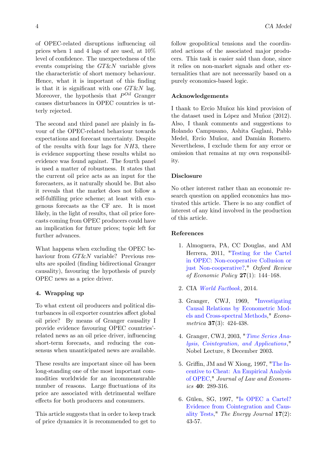of OPEC-related disruptions influencing oil prices when 1 and 4 lags of are used, at 10% level of confidence. The unexpectedness of the events comprising the  $GT\&N$  variable gives the characteristic of short memory behaviour. Hence, what it is important of this finding is that it is significant with one  $G T \& N$  lag. Moreover, the hypothesis that  $P^{Oil}$  Granger causes disturbances in OPEC countries is utterly rejected.

The second and third panel are plainly in favour of the OPEC-related behaviour towards expectations and forecast uncertainty. Despite of the results with four lags for  $NH3$ , there is evidence supporting these results whilst no evidence was found against. The fourth panel is used a matter of robustness. It states that the current oil price acts as an input for the forecasters, as it naturally should be. But also it reveals that the market does not follow a self-fulfilling price scheme; at least with exogenous forecasts as the CF are. It is most likely, in the light of results, that oil price forecasts coming from OPEC producers could have an implication for future prices; topic left for further advances.

What happens when excluding the OPEC behaviour from  $G T \& N$  variable? Previous results are spoiled (Önding bidirectional Granger causality), favouring the hypothesis of purely OPEC news as a price driver.

# 4. Wrapping up

To what extent oil producers and political disturbances in oil exporter countries affect global oil price? By means of Granger causality I provide evidence favouring OPEC countries<sup>2</sup>related news as an oil price driver, influencing short-term forecasts, and reducing the consensus when unanticipated news are available.

These results are important since oil has been long-standing one of the most important commodities worldwide for an incommensurable number of reasons. Large fluctuations of its price are associated with detrimental welfare effects for both producers and consumers.

This article suggests that in order to keep track of price dynamics it is recommended to get to follow geopolitical tensions and the coordinated actions of the associated major producers. This task is easier said than done, since it relies on non-market signals and other externalities that are not necessarily based on a purely economics-based logic.

# Acknowledgements

I thank to Ercio Muñoz his kind provision of the dataset used in López and Muñoz  $(2012)$ . Also, I thank comments and suggestions to Rolando Campusano, Ashita Gaglani, Pablo Medel, Ercio Muñoz, and Damián Romero. Nevertheless, I exclude them for any error or omission that remains at my own responsibility.

#### Disclosure

No other interest rather than an economic research question on applied economics has motivated this article. There is no any conflict of interest of any kind involved in the production of this article.

#### References

- 1. Almoguera, PA, CC Douglas, and AM Herrera, 2011, "Testing for the Cartel in OPEC: Non-cooperative Collusion or just Non-cooperative?," Oxford Review of Economic Policy  $27(1)$ : 144–168.
- 2. CIA World Factbook, 2014.
- 3. Granger, CWJ, 1969, "Investigating Causal Relations by Econometric Models and Cross-spectral Methods," Econometrica 37(3): 424-438.
- 4. Granger, CWJ, 2003, "Time Series Analysis, Cointegration, and Applications," Nobel Lecture, 8 December 2003.
- 5. Griffin, JM and W Xiong, 1997, "The Incentive to Cheat: An Empirical Analysis of OPEC," Journal of Law and Economics 40: 289-316.
- 6. Gülen, SG, 1997, "Is OPEC a Cartel? Evidence from Cointegration and Causality Tests," The Energy Journal 17(2): 43-57.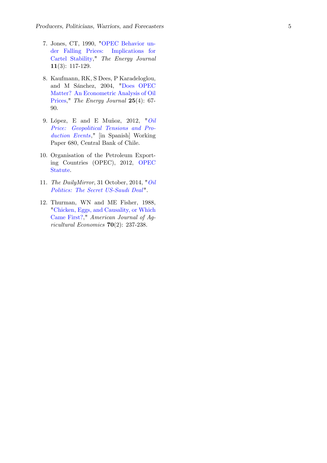- 7. Jones, CT, 1990, "OPEC Behavior under Falling Prices: Implications for Cartel Stability," The Energy Journal 11(3): 117-129.
- 8. Kaufmann, RK, S Dees, P Karadeloglou, and M Sánchez, 2004, "Does OPEC Matter? An Econometric Analysis of Oil Prices," The Energy Journal 25(4): 67- 90.
- 9. López, E and E Muñoz, 2012, " $Oil$ Price: Geopolitical Tensions and Production Events," [in Spanish] Working Paper 680, Central Bank of Chile.
- 10. Organisation of the Petroleum Exporting Countries (OPEC), 2012, OPEC Statute .
- 11. The DailyMirror, 31 October, 2014, "Oil Politics: The Secret US-Saudi Deal".
- 12. Thurman, WN and ME Fisher, 1988, "Chicken, Eggs, and Causality, or Which Came First?," American Journal of Agricultural Economics 70(2): 237-238.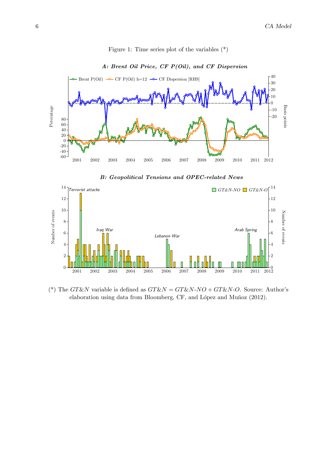

#### Figure 1: Time series plot of the variables (\*)

# A: Brent Oil Price, CF P(Oil), and CF Dispersion

B: Geopolitical Tensions and OPEC-related News



(\*) The GT&N variable is defined as  $GT\&N = GT\&N-NO + GT\&N-O$ . Source: Author's elaboration using data from Bloomberg, CF, and López and Muñoz (2012).